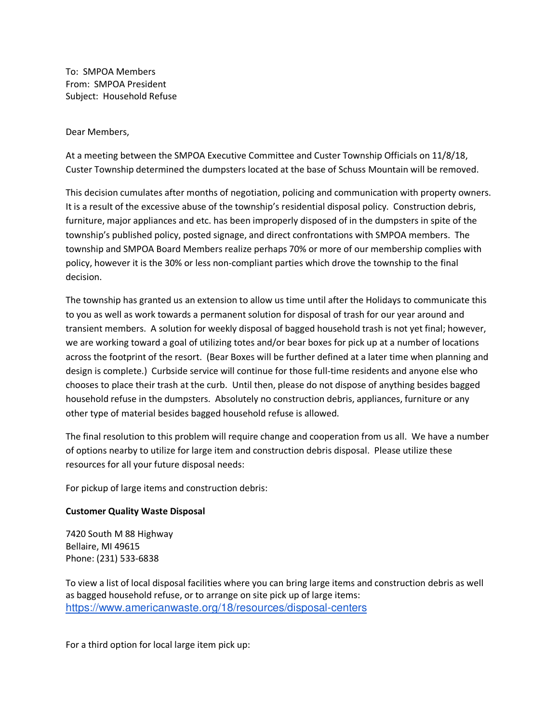To: SMPOA Members From: SMPOA President Subject: Household Refuse

Dear Members,

At a meeting between the SMPOA Executive Committee and Custer Township Officials on 11/8/18, Custer Township determined the dumpsters located at the base of Schuss Mountain will be removed.

This decision cumulates after months of negotiation, policing and communication with property owners. It is a result of the excessive abuse of the township's residential disposal policy. Construction debris, furniture, major appliances and etc. has been improperly disposed of in the dumpsters in spite of the township's published policy, posted signage, and direct confrontations with SMPOA members. The township and SMPOA Board Members realize perhaps 70% or more of our membership complies with policy, however it is the 30% or less non-compliant parties which drove the township to the final decision.

The township has granted us an extension to allow us time until after the Holidays to communicate this to you as well as work towards a permanent solution for disposal of trash for our year around and transient members. A solution for weekly disposal of bagged household trash is not yet final; however, we are working toward a goal of utilizing totes and/or bear boxes for pick up at a number of locations across the footprint of the resort. (Bear Boxes will be further defined at a later time when planning and design is complete.) Curbside service will continue for those full-time residents and anyone else who chooses to place their trash at the curb. Until then, please do not dispose of anything besides bagged household refuse in the dumpsters. Absolutely no construction debris, appliances, furniture or any other type of material besides bagged household refuse is allowed.

The final resolution to this problem will require change and cooperation from us all. We have a number of options nearby to utilize for large item and construction debris disposal. Please utilize these resources for all your future disposal needs:

For pickup of large items and construction debris:

## **Customer Quality Waste Disposal**

7420 South M 88 Highway Bellaire, MI 49615 Phone: (231) 533-6838

To view a list of local disposal facilities where you can bring large items and construction debris as well as bagged household refuse, or to arrange on site pick up of large items: https://www.americanwaste.org/18/resources/disposal-centers

For a third option for local large item pick up: